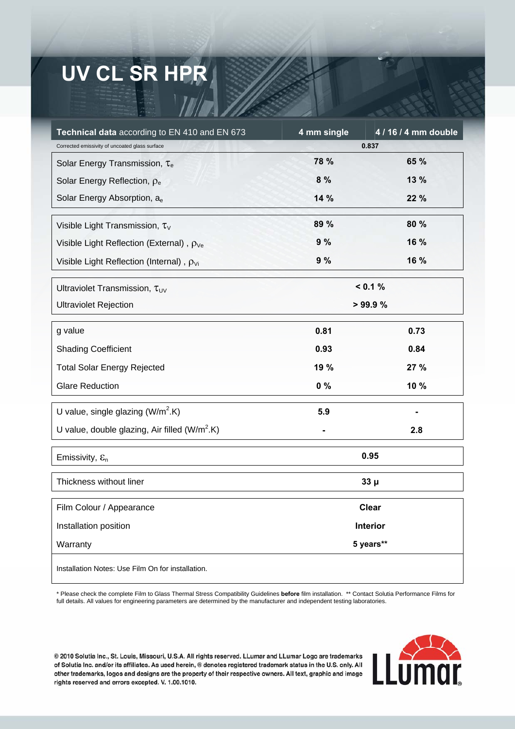## **UV CL SR HPR**

| Technical data according to EN 410 and EN 673        | 4 mm single  | 4 / 16 / 4 mm double |
|------------------------------------------------------|--------------|----------------------|
| Corrected emissivity of uncoated glass surface       | 0.837        |                      |
| Solar Energy Transmission, Te                        | 78 %         | 65 %                 |
| Solar Energy Reflection, $\rho_e$                    | 8 %          | 13 %                 |
| Solar Energy Absorption, ae                          | 14 %         | 22 %                 |
| Visible Light Transmission, $\tau_{\vee}$            | 89 %         | 80 %                 |
| Visible Light Reflection (External), $\rho_{\vee e}$ | 9%           | 16 %                 |
| Visible Light Reflection (Internal), $\rho_{Vi}$     | 9%           | 16 %                 |
| Ultraviolet Transmission, $\tau_{UV}$                | < 0.1 %      |                      |
| <b>Ultraviolet Rejection</b>                         | > 99.9%      |                      |
| g value                                              | 0.81         | 0.73                 |
| <b>Shading Coefficient</b>                           | 0.93         | 0.84                 |
| <b>Total Solar Energy Rejected</b>                   | 19 %         | 27 %                 |
| <b>Glare Reduction</b>                               | $0\%$        | 10 %                 |
| U value, single glazing $(W/m^2.K)$                  | 5.9          |                      |
| U value, double glazing, Air filled $(W/m^2.K)$      |              | 2.8                  |
| Emissivity, $\mathcal{E}_n$                          | 0.95         |                      |
| Thickness without liner                              | $33\mu$      |                      |
| Film Colour / Appearance                             | <b>Clear</b> |                      |
| Installation position                                | Interior     |                      |
| Warranty                                             | 5 years**    |                      |
| Installation Notes: Use Film On for installation.    |              |                      |

\* Please check the complete Film to Glass Thermal Stress Compatibility Guidelines **before** film installation. \*\* Contact Solutia Performance Films for full details. All values for engineering parameters are determined by the manufacturer and independent testing laboratories.